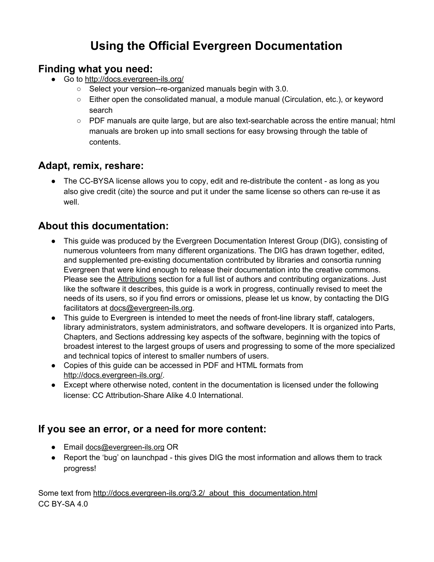# **Using the Official Evergreen Documentation**

#### **Finding what you need:**

- Go to <http://docs.evergreen-ils.org/>
	- Select your version--re-organized manuals begin with 3.0.
	- Either open the consolidated manual, a module manual (Circulation, etc.), or keyword search
	- PDF manuals are quite large, but are also text-searchable across the entire manual; html manuals are broken up into small sections for easy browsing through the table of contents.

#### **Adapt, remix, reshare:**

• The CC-BYSA license allows you to copy, edit and re-distribute the content - as long as you also give credit (cite) the source and put it under the same license so others can re-use it as well.

### **About this documentation:**

- This guide was produced by the Evergreen Documentation Interest Group (DIG), consisting of numerous volunteers from many different organizations. The DIG has drawn together, edited, and supplemented pre-existing documentation contributed by libraries and consortia running Evergreen that were kind enough to release their documentation into the creative commons. Please see the [Attributions](http://docs.evergreen-ils.org/3.2/attributions.html) section for a full list of authors and contributing organizations. Just like the software it describes, this guide is a work in progress, continually revised to meet the needs of its users, so if you find errors or omissions, please let us know, by contacting the DIG facilitators at [docs@evergreen-ils.org.](mailto:docs@evergreen-ils.org)
- This guide to Evergreen is intended to meet the needs of front-line library staff, catalogers, library administrators, system administrators, and software developers. It is organized into Parts, Chapters, and Sections addressing key aspects of the software, beginning with the topics of broadest interest to the largest groups of users and progressing to some of the more specialized and technical topics of interest to smaller numbers of users.
- Copies of this guide can be accessed in PDF and HTML formats from [http://docs.evergreen-ils.org/.](http://docs.evergreen-ils.org/)
- Except where otherwise noted, content in the documentation is licensed under the following license: CC Attribution-Share Alike 4.0 International.

#### **If you see an error, or a need for more content:**

- Email [docs@evergreen-ils.org](mailto:docs@evergreen-ils.org) OR
- Report the 'bug' on launchpad this gives DIG the most information and allows them to track progress!

Some text from [http://docs.evergreen-ils.org/3.2/\\_about\\_this\\_documentation.html](http://docs.evergreen-ils.org/3.2/_about_this_documentation.html) CC BY-SA 4.0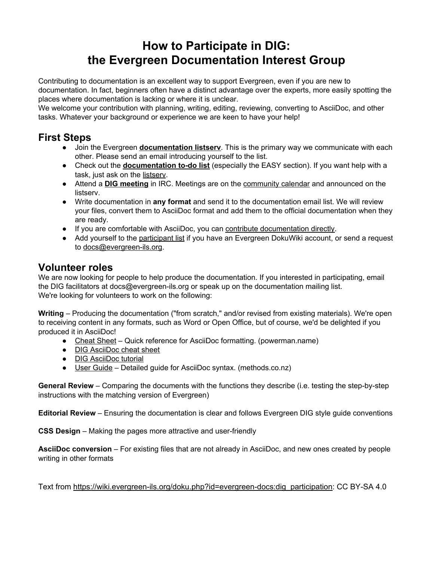## **How to Participate in DIG: the Evergreen Documentation Interest Group**

Contributing to documentation is an excellent way to support Evergreen, even if you are new to documentation. In fact, beginners often have a distinct advantage over the experts, more easily spotting the places where documentation is lacking or where it is unclear.

We welcome your contribution with planning, writing, editing, reviewing, converting to AsciiDoc, and other tasks. Whatever your background or experience we are keen to have your help!

### **First Steps**

- Join the Evergreen **[documentation listserv](http://list.georgialibraries.org/mailman/listinfo/open-ils-documentation)**. This is the primary way we communicate with each other. Please send an email introducing yourself to the list.
- Check out the **[documentation to-do list](https://wiki.evergreen-ils.org/doku.php?id=evergreen-docs:documentation_needs)** (especially the EASY section). If you want help with a task, just ask on the [listserv](http://list.georgialibraries.org/mailman/listinfo/open-ils-documentation).
- **•** Attend a **[DIG meeting](https://wiki.evergreen-ils.org/doku.php?id=evergreen-docs:dig_meetings)** in IRC. Meetings are on the [community calendar](https://wiki.evergreen-ils.org/doku.php?id=calendar:start) and announced on the listserv.
- Write documentation in **any format** and send it to the documentation email list. We will review your files, convert them to AsciiDoc format and add them to the official documentation when they are ready.
- If you are comfortable with AsciiDoc, you can [contribute documentation directly](https://wiki.evergreen-ils.org/doku.php?id=evergreen-docs:how-to-contribute-documentation).
- Add yourself to the [participant list](https://wiki.evergreen-ils.org/doku.php?id=evergreen-docs:digparticipants) if you have an Evergreen DokuWiki account, or send a request to [docs@evergreen-ils.org](mailto:docs@evergreen-ils.org).

#### **Volunteer roles**

We are now looking for people to help produce the documentation. If you interested in participating, email the DIG facilitators at docs@evergreen-ils.org or speak up on the documentation mailing list. We're looking for volunteers to work on the following:

**Writing** – Producing the documentation ("from scratch," and/or revised from existing materials). We're open to receiving content in any formats, such as Word or Open Office, but of course, we'd be delighted if you produced it in AsciiDoc!

- [Cheat Sheet](https://powerman.name/doc/asciidoc) Quick reference for AsciiDoc formatting. (powerman.name)
- [DIG AsciiDoc cheat sheet](https://docs.google.com/document/pub?id=17KpO9tMYBObec3coijFAxFDjDCrOIfoVDMa3Q1k8_lE)
- [DIG AsciiDoc tutorial](https://docs.google.com/presentation/pub?id=1o8HruJayUSEvXQlU_IjU6xN3cJbuw3yagENlcUM7sUU&start=false&loop=false&delayms=3000)
- [User Guide](http://www.methods.co.nz/asciidoc/userguide.html)  Detailed guide for AsciiDoc syntax. (methods.co.nz)

**General Review** – Comparing the documents with the functions they describe (i.e. testing the step-by-step instructions with the matching version of Evergreen)

**Editorial Review** – Ensuring the documentation is clear and follows Evergreen DIG style guide conventions

**CSS Design** – Making the pages more attractive and user-friendly

**AsciiDoc conversion** – For existing files that are not already in AsciiDoc, and new ones created by people writing in other formats

Text from [https://wiki.evergreen-ils.org/doku.php?id=evergreen-docs:dig\\_participation:](https://wiki.evergreen-ils.org/doku.php?id=evergreen-docs:dig_participation) CC BY-SA 4.0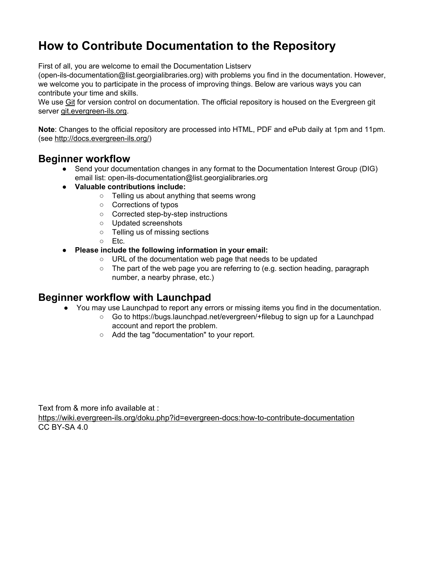# **How to Contribute Documentation to the Repository**

First of all, you are welcome to email the Documentation Listserv

(open-ils-documentation@list.georgialibraries.org) with problems you find in the documentation. However, we welcome you to participate in the process of improving things. Below are various ways you can contribute your time and skills.

We use [Git](http://git-scm.com/) for version control on documentation. The official repository is housed on the Evergreen git server [git.evergreen-ils.org.](http://git.evergreen-ils.org/?p=Evergreen.git;a=tree;f=docs;hb=HEAD)

**Note**: Changes to the official repository are processed into HTML, PDF and ePub daily at 1pm and 11pm. (see [http://docs.evergreen-ils.org/\)](http://docs.evergreen-ils.org/)

#### **Beginner workflow**

- Send your documentation changes in any format to the Documentation Interest Group (DIG) email list: open-ils-documentation@list.georgialibraries.org
- **Valuable contributions include:**
	- Telling us about anything that seems wrong
	- Corrections of typos
	- Corrected step-by-step instructions
	- Updated screenshots
	- Telling us of missing sections
	- Etc.
- **Please include the following information in your email:**
	- URL of the documentation web page that needs to be updated
	- The part of the web page you are referring to (e.g. section heading, paragraph number, a nearby phrase, etc.)

#### **Beginner workflow with Launchpad**

- You may use Launchpad to report any errors or missing items you find in the documentation.
	- Go to <https://bugs.launchpad.net/evergreen/+filebug> to sign up for a Launchpad account and report the problem.
	- Add the tag "documentation" to your report.

Text from & more info available at :

<https://wiki.evergreen-ils.org/doku.php?id=evergreen-docs:how-to-contribute-documentation> CC BY-SA 4.0